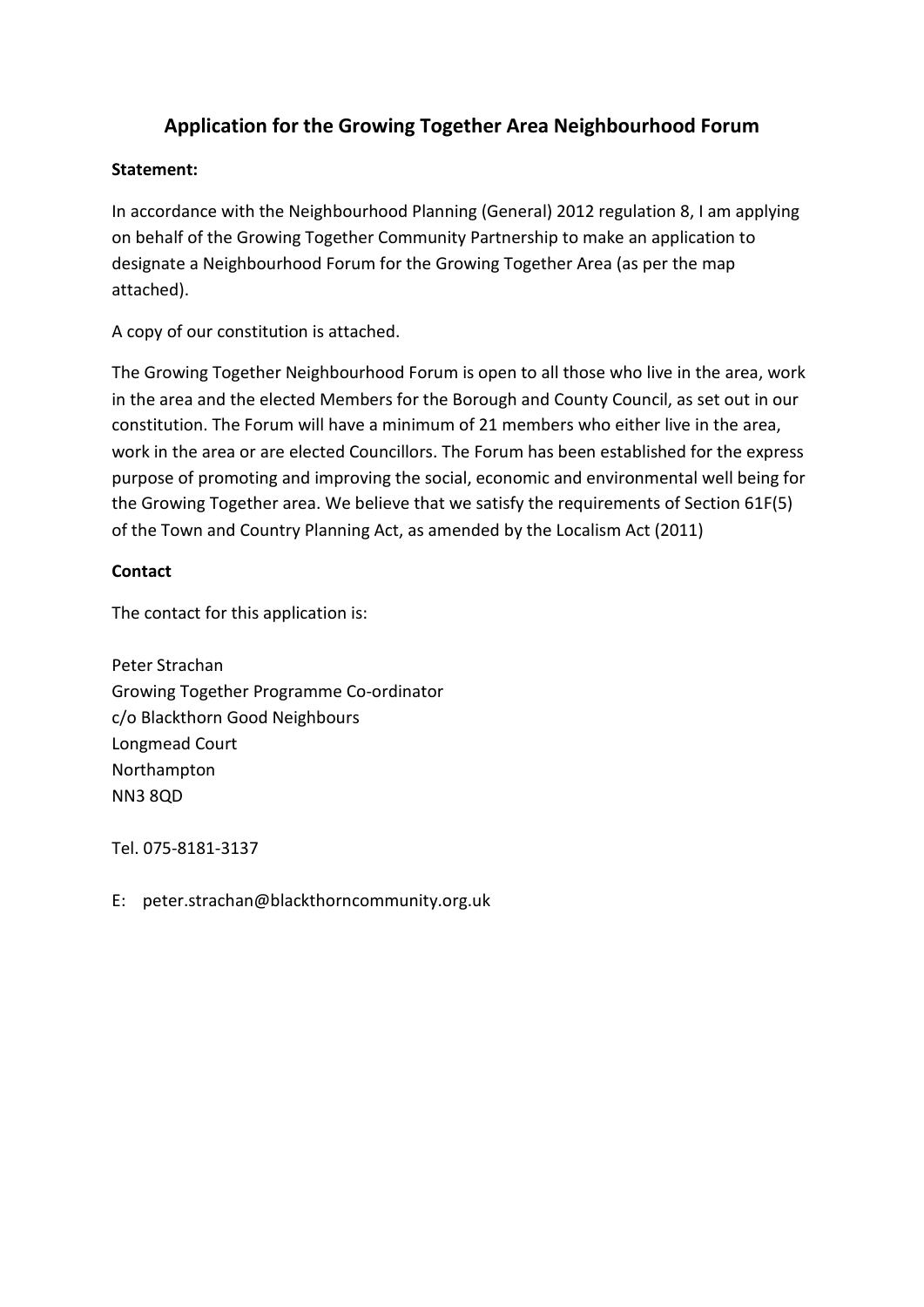# **Application for the Growing Together Area Neighbourhood Forum**

# **Statement:**

In accordance with the Neighbourhood Planning (General) 2012 regulation 8, I am applying on behalf of the Growing Together Community Partnership to make an application to designate a Neighbourhood Forum for the Growing Together Area (as per the map attached).

A copy of our constitution is attached.

The Growing Together Neighbourhood Forum is open to all those who live in the area, work in the area and the elected Members for the Borough and County Council, as set out in our constitution. The Forum will have a minimum of 21 members who either live in the area, work in the area or are elected Councillors. The Forum has been established for the express purpose of promoting and improving the social, economic and environmental well being for the Growing Together area. We believe that we satisfy the requirements of Section 61F(5) of the Town and Country Planning Act, as amended by the Localism Act (2011)

# **Contact**

The contact for this application is:

Peter Strachan Growing Together Programme Co-ordinator c/o Blackthorn Good Neighbours Longmead Court Northampton NN3 8QD

Tel. 075-8181-3137

E: peter.strachan@blackthorncommunity.org.uk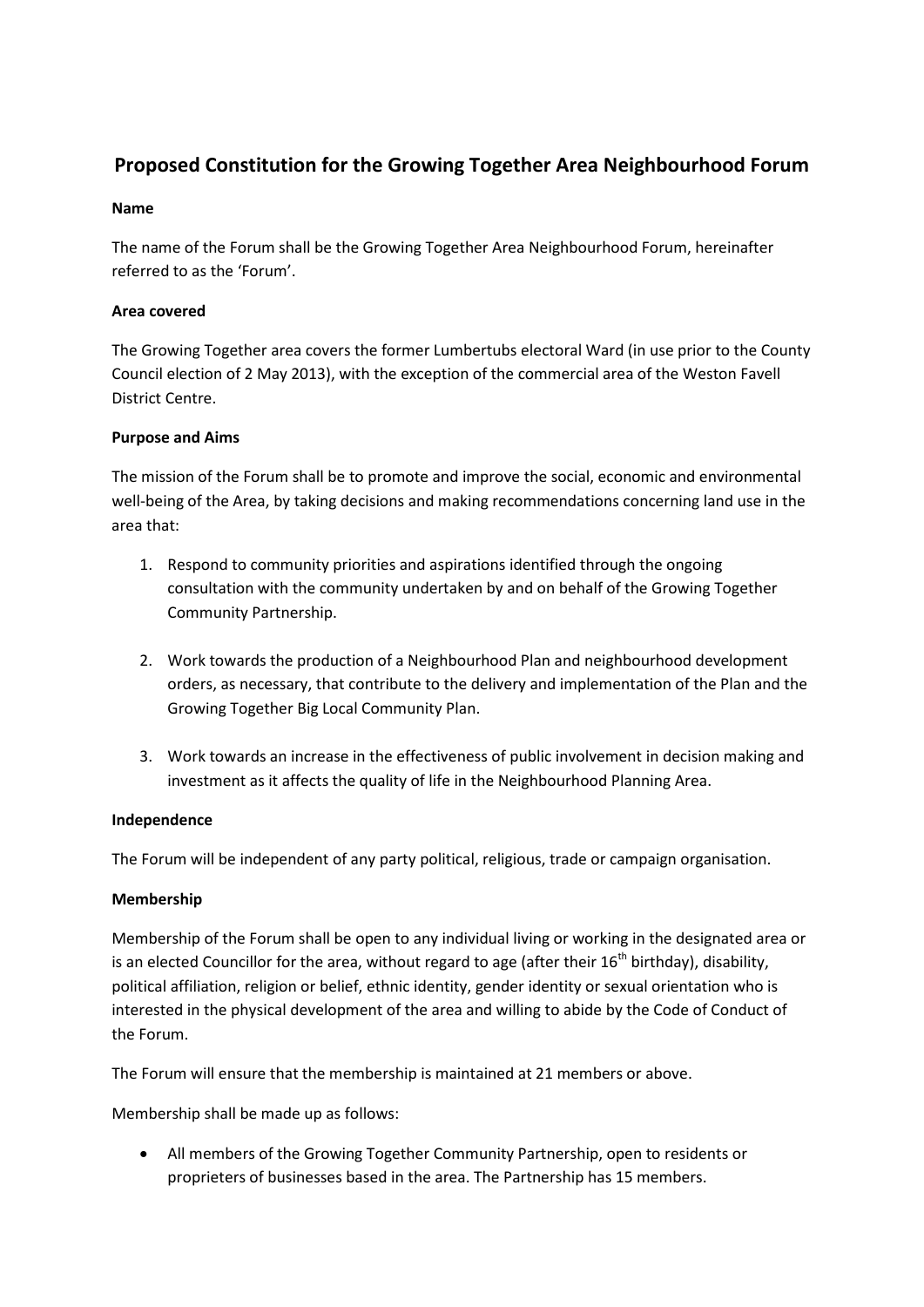# **Proposed Constitution for the Growing Together Area Neighbourhood Forum**

## **Name**

The name of the Forum shall be the Growing Together Area Neighbourhood Forum, hereinafter referred to as the 'Forum'.

## **Area covered**

The Growing Together area covers the former Lumbertubs electoral Ward (in use prior to the County Council election of 2 May 2013), with the exception of the commercial area of the Weston Favell District Centre.

## **Purpose and Aims**

The mission of the Forum shall be to promote and improve the social, economic and environmental well-being of the Area, by taking decisions and making recommendations concerning land use in the area that:

- 1. Respond to community priorities and aspirations identified through the ongoing consultation with the community undertaken by and on behalf of the Growing Together Community Partnership.
- 2. Work towards the production of a Neighbourhood Plan and neighbourhood development orders, as necessary, that contribute to the delivery and implementation of the Plan and the Growing Together Big Local Community Plan.
- 3. Work towards an increase in the effectiveness of public involvement in decision making and investment as it affects the quality of life in the Neighbourhood Planning Area.

## **Independence**

The Forum will be independent of any party political, religious, trade or campaign organisation.

## **Membership**

Membership of the Forum shall be open to any individual living or working in the designated area or is an elected Councillor for the area, without regard to age (after their  $16<sup>th</sup>$  birthday), disability, political affiliation, religion or belief, ethnic identity, gender identity or sexual orientation who is interested in the physical development of the area and willing to abide by the Code of Conduct of the Forum.

The Forum will ensure that the membership is maintained at 21 members or above.

Membership shall be made up as follows:

• All members of the Growing Together Community Partnership, open to residents or proprieters of businesses based in the area. The Partnership has 15 members.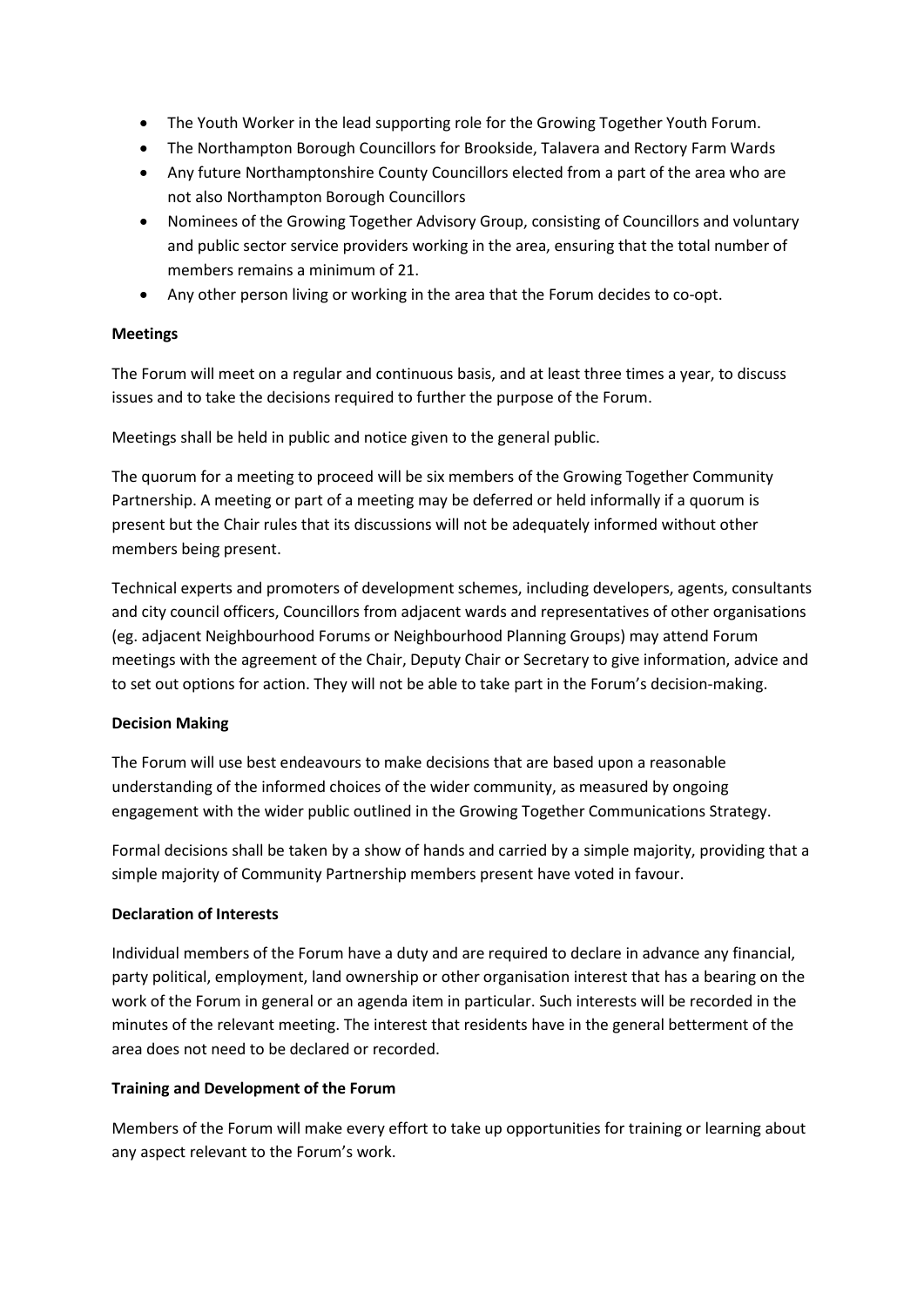- The Youth Worker in the lead supporting role for the Growing Together Youth Forum.
- The Northampton Borough Councillors for Brookside, Talavera and Rectory Farm Wards
- Any future Northamptonshire County Councillors elected from a part of the area who are not also Northampton Borough Councillors
- Nominees of the Growing Together Advisory Group, consisting of Councillors and voluntary and public sector service providers working in the area, ensuring that the total number of members remains a minimum of 21.
- Any other person living or working in the area that the Forum decides to co-opt.

## **Meetings**

The Forum will meet on a regular and continuous basis, and at least three times a year, to discuss issues and to take the decisions required to further the purpose of the Forum.

Meetings shall be held in public and notice given to the general public.

The quorum for a meeting to proceed will be six members of the Growing Together Community Partnership. A meeting or part of a meeting may be deferred or held informally if a quorum is present but the Chair rules that its discussions will not be adequately informed without other members being present.

Technical experts and promoters of development schemes, including developers, agents, consultants and city council officers, Councillors from adjacent wards and representatives of other organisations (eg. adjacent Neighbourhood Forums or Neighbourhood Planning Groups) may attend Forum meetings with the agreement of the Chair, Deputy Chair or Secretary to give information, advice and to set out options for action. They will not be able to take part in the Forum's decision-making.

## **Decision Making**

The Forum will use best endeavours to make decisions that are based upon a reasonable understanding of the informed choices of the wider community, as measured by ongoing engagement with the wider public outlined in the Growing Together Communications Strategy.

Formal decisions shall be taken by a show of hands and carried by a simple majority, providing that a simple majority of Community Partnership members present have voted in favour.

## **Declaration of Interests**

Individual members of the Forum have a duty and are required to declare in advance any financial, party political, employment, land ownership or other organisation interest that has a bearing on the work of the Forum in general or an agenda item in particular. Such interests will be recorded in the minutes of the relevant meeting. The interest that residents have in the general betterment of the area does not need to be declared or recorded.

## **Training and Development of the Forum**

Members of the Forum will make every effort to take up opportunities for training or learning about any aspect relevant to the Forum's work.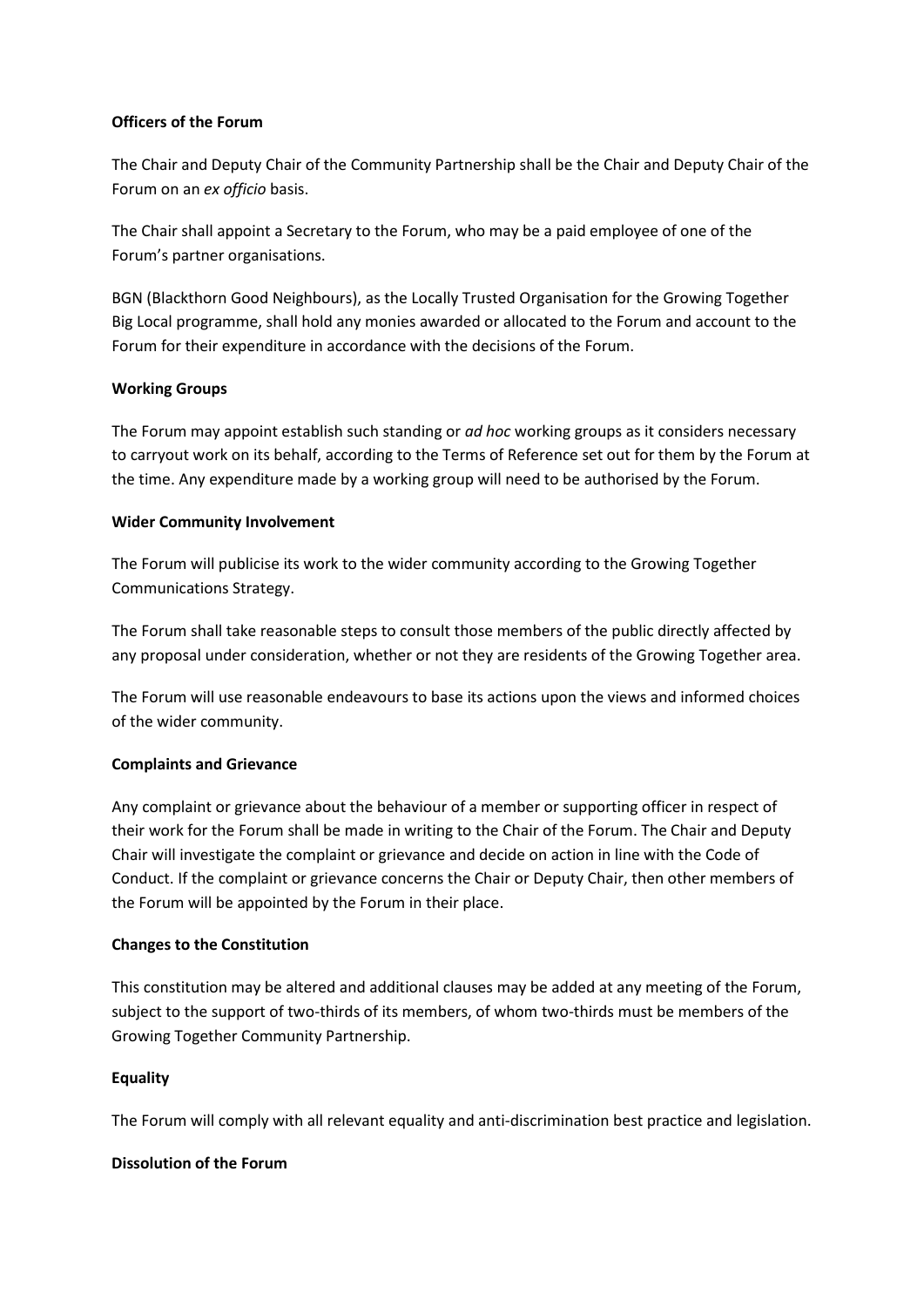## **Officers of the Forum**

The Chair and Deputy Chair of the Community Partnership shall be the Chair and Deputy Chair of the Forum on an *ex officio* basis.

The Chair shall appoint a Secretary to the Forum, who may be a paid employee of one of the Forum's partner organisations.

BGN (Blackthorn Good Neighbours), as the Locally Trusted Organisation for the Growing Together Big Local programme, shall hold any monies awarded or allocated to the Forum and account to the Forum for their expenditure in accordance with the decisions of the Forum.

## **Working Groups**

The Forum may appoint establish such standing or *ad hoc* working groups as it considers necessary to carryout work on its behalf, according to the Terms of Reference set out for them by the Forum at the time. Any expenditure made by a working group will need to be authorised by the Forum.

## **Wider Community Involvement**

The Forum will publicise its work to the wider community according to the Growing Together Communications Strategy.

The Forum shall take reasonable steps to consult those members of the public directly affected by any proposal under consideration, whether or not they are residents of the Growing Together area.

The Forum will use reasonable endeavours to base its actions upon the views and informed choices of the wider community.

## **Complaints and Grievance**

Any complaint or grievance about the behaviour of a member or supporting officer in respect of their work for the Forum shall be made in writing to the Chair of the Forum. The Chair and Deputy Chair will investigate the complaint or grievance and decide on action in line with the Code of Conduct. If the complaint or grievance concerns the Chair or Deputy Chair, then other members of the Forum will be appointed by the Forum in their place.

## **Changes to the Constitution**

This constitution may be altered and additional clauses may be added at any meeting of the Forum, subject to the support of two-thirds of its members, of whom two-thirds must be members of the Growing Together Community Partnership.

## **Equality**

The Forum will comply with all relevant equality and anti-discrimination best practice and legislation.

## **Dissolution of the Forum**